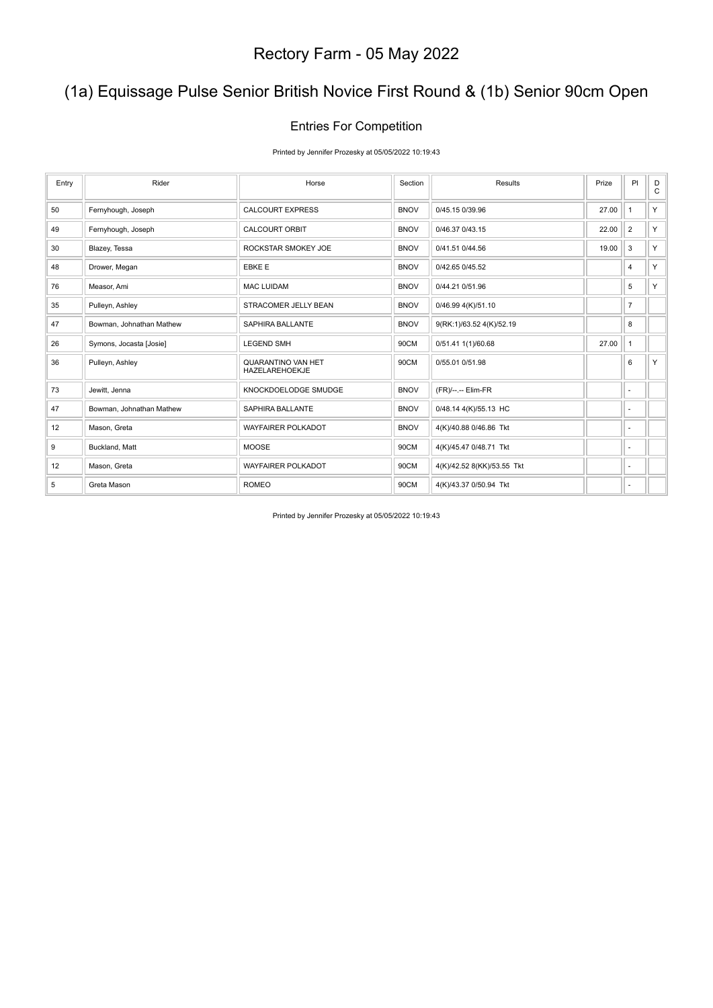# (1a) Equissage Pulse Senior British Novice First Round & (1b) Senior 90cm Open

#### Entries For Competition

Printed by Jennifer Prozesky at 05/05/2022 10:19:43

| Entry | Rider                    | Horse                                | Section     | Results                    | Prize | PI                       | D<br>C |
|-------|--------------------------|--------------------------------------|-------------|----------------------------|-------|--------------------------|--------|
| 50    | Fernyhough, Joseph       | <b>CALCOURT EXPRESS</b>              | <b>BNOV</b> | 0/45.15 0/39.96            | 27.00 | $\mathbf{1}$             | Y      |
| 49    | Fernyhough, Joseph       | <b>CALCOURT ORBIT</b>                | <b>BNOV</b> | 0/46.37 0/43.15            | 22.00 | $\overline{2}$           | Y      |
| 30    | Blazey, Tessa            | ROCKSTAR SMOKEY JOE                  | <b>BNOV</b> | 0/41.51 0/44.56            | 19.00 | 3                        | Y.     |
| 48    | Drower, Megan            | <b>EBKE E</b>                        | <b>BNOV</b> | 0/42.65 0/45.52            |       | 4                        | Y      |
| 76    | Measor, Ami              | <b>MAC LUIDAM</b>                    | <b>BNOV</b> | 0/44.21 0/51.96            |       | 5                        | Y      |
| 35    | Pulleyn, Ashley          | STRACOMER JELLY BEAN                 | <b>BNOV</b> | 0/46.99 4(K)/51.10         |       | $\overline{7}$           |        |
| 47    | Bowman, Johnathan Mathew | <b>SAPHIRA BALLANTE</b>              | <b>BNOV</b> | 9(RK:1)/63.52 4(K)/52.19   |       | 8                        |        |
| 26    | Symons, Jocasta [Josie]  | <b>LEGEND SMH</b>                    | 90CM        | 0/51.41 1(1)/60.68         | 27.00 | $\mathbf{1}$             |        |
| 36    | Pulleyn, Ashley          | QUARANTINO VAN HET<br>HAZELAREHOEKJE | 90CM        | 0/55.01 0/51.98            |       | 6                        | Y      |
| 73    | Jewitt, Jenna            | KNOCKDOELODGE SMUDGE                 | <b>BNOV</b> | (FR)/--.-- Elim-FR         |       | $\sim$                   |        |
| 47    | Bowman, Johnathan Mathew | <b>SAPHIRA BALLANTE</b>              | <b>BNOV</b> | 0/48.14 4(K)/55.13 HC      |       | $\blacksquare$           |        |
| 12    | Mason, Greta             | <b>WAYFAIRER POLKADOT</b>            | <b>BNOV</b> | 4(K)/40.88 0/46.86 Tkt     |       | $\sim$                   |        |
| 9     | Buckland, Matt           | <b>MOOSE</b>                         | 90CM        | 4(K)/45.47 0/48.71 Tkt     |       | ٠                        |        |
| 12    | Mason, Greta             | <b>WAYFAIRER POLKADOT</b>            | 90CM        | 4(K)/42.52 8(KK)/53.55 Tkt |       | $\overline{\phantom{a}}$ |        |
| 5     | Greta Mason              | <b>ROMEO</b>                         | 90CM        | 4(K)/43.37 0/50.94 Tkt     |       | ä,                       |        |

Printed by Jennifer Prozesky at 05/05/2022 10:19:43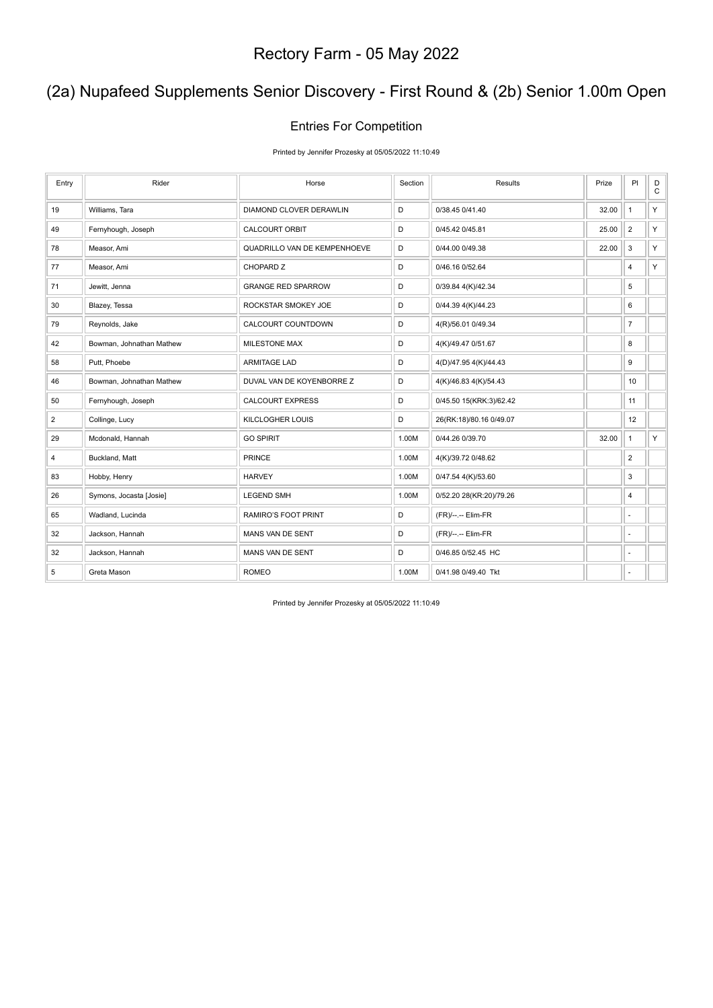# (2a) Nupafeed Supplements Senior Discovery - First Round & (2b) Senior 1.00m Open

#### Entries For Competition

Printed by Jennifer Prozesky at 05/05/2022 11:10:49

| Entry          | Rider                    | Horse                        | Section | Results                 | Prize | PI                       | D<br>$\mathtt{C}$ |
|----------------|--------------------------|------------------------------|---------|-------------------------|-------|--------------------------|-------------------|
| 19             | Williams, Tara           | DIAMOND CLOVER DERAWLIN      | D       | 0/38.45 0/41.40         | 32.00 | $\mathbf{1}$             | Y                 |
| 49             | Fernyhough, Joseph       | <b>CALCOURT ORBIT</b>        | D       | 0/45.42 0/45.81         | 25.00 | $\overline{2}$           | Y                 |
| 78             | Measor, Ami              | QUADRILLO VAN DE KEMPENHOEVE | D       | 0/44.00 0/49.38         | 22.00 | 3                        | Y                 |
| 77             | Measor, Ami              | CHOPARD Z                    | D       | 0/46.16 0/52.64         |       | 4                        | Y.                |
| 71             | Jewitt, Jenna            | <b>GRANGE RED SPARROW</b>    | D       | 0/39.84 4(K)/42.34      |       | 5                        |                   |
| 30             | Blazey, Tessa            | ROCKSTAR SMOKEY JOE          | D       | 0/44.39 4(K)/44.23      |       | 6                        |                   |
| 79             | Reynolds, Jake           | CALCOURT COUNTDOWN           | D       | 4(R)/56.01 0/49.34      |       | $\boldsymbol{7}$         |                   |
| 42             | Bowman, Johnathan Mathew | <b>MILESTONE MAX</b>         | D       | 4(K)/49.47 0/51.67      |       | 8                        |                   |
| 58             | Putt, Phoebe             | <b>ARMITAGE LAD</b>          | D       | 4(D)/47.95 4(K)/44.43   |       | 9                        |                   |
| 46             | Bowman, Johnathan Mathew | DUVAL VAN DE KOYENBORRE Z    | D       | 4(K)/46.83 4(K)/54.43   |       | 10                       |                   |
| 50             | Fernyhough, Joseph       | <b>CALCOURT EXPRESS</b>      | D       | 0/45.50 15(KRK:3)/62.42 |       | 11                       |                   |
| $\overline{2}$ | Collinge, Lucy           | <b>KILCLOGHER LOUIS</b>      | D       | 26(RK:18)/80.16 0/49.07 |       | 12                       |                   |
| 29             | Mcdonald, Hannah         | <b>GO SPIRIT</b>             | 1.00M   | 0/44.26 0/39.70         | 32.00 | $\mathbf{1}$             | Y                 |
| 4              | Buckland, Matt           | <b>PRINCE</b>                | 1.00M   | 4(K)/39.72 0/48.62      |       | $\overline{2}$           |                   |
| 83             | Hobby, Henry             | <b>HARVEY</b>                | 1.00M   | 0/47.54 4(K)/53.60      |       | 3                        |                   |
| 26             | Symons, Jocasta [Josie]  | <b>LEGEND SMH</b>            | 1.00M   | 0/52.20 28(KR:20)/79.26 |       | 4                        |                   |
| 65             | Wadland, Lucinda         | RAMIRO'S FOOT PRINT          | D       | (FR)/--.-- Elim-FR      |       | ٠                        |                   |
| 32             | Jackson, Hannah          | MANS VAN DE SENT             | D       | (FR)/--.-- Elim-FR      |       | ÷,                       |                   |
| 32             | Jackson, Hannah          | MANS VAN DE SENT             | D       | 0/46.85 0/52.45 HC      |       | $\overline{\phantom{a}}$ |                   |
| 5              | Greta Mason              | <b>ROMEO</b>                 | 1.00M   | 0/41.98 0/49.40 Tkt     |       | $\sim$                   |                   |

Printed by Jennifer Prozesky at 05/05/2022 11:10:49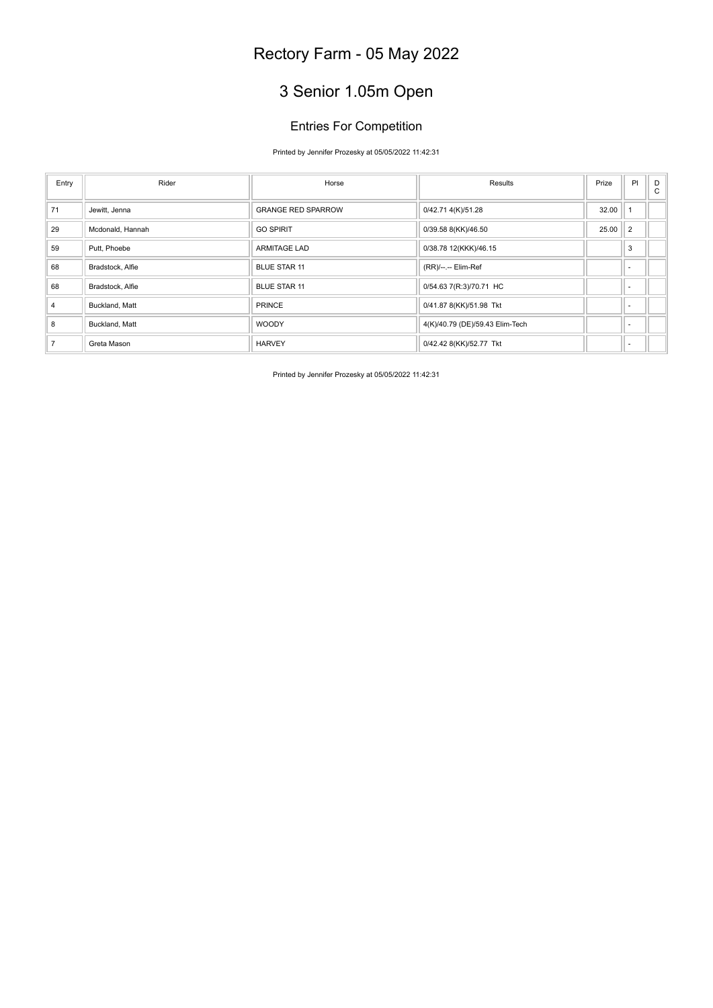# 3 Senior 1.05m Open

#### Entries For Competition

#### Printed by Jennifer Prozesky at 05/05/2022 11:42:31

| Entry          | Rider            | Horse                     | Results                         | Prize | PI                       | D<br>$\mathsf{C}$ |
|----------------|------------------|---------------------------|---------------------------------|-------|--------------------------|-------------------|
| 71             | Jewitt, Jenna    | <b>GRANGE RED SPARROW</b> | 0/42.71 4(K)/51.28              | 32.00 |                          |                   |
| 29             | Mcdonald, Hannah | <b>GO SPIRIT</b>          | 0/39.58 8(KK)/46.50             | 25.00 | $\overline{2}$           |                   |
| 59             | Putt, Phoebe     | <b>ARMITAGE LAD</b>       | 0/38.78 12(KKK)/46.15           |       | 3                        |                   |
| 68             | Bradstock, Alfie | <b>BLUE STAR 11</b>       | (RR)/--.-- Elim-Ref             |       | $\overline{\phantom{a}}$ |                   |
| 68             | Bradstock, Alfie | <b>BLUE STAR 11</b>       | 0/54.63 7(R:3)/70.71 HC         |       |                          |                   |
| $\overline{4}$ | Buckland, Matt   | <b>PRINCE</b>             | 0/41.87 8(KK)/51.98 Tkt         |       | $\overline{\phantom{a}}$ |                   |
| 8              | Buckland, Matt   | <b>WOODY</b>              | 4(K)/40.79 (DE)/59.43 Elim-Tech |       |                          |                   |
| $\overline{7}$ | Greta Mason      | <b>HARVEY</b>             | 0/42.42 8(KK)/52.77 Tkt         |       | $\overline{\phantom{a}}$ |                   |
|                |                  |                           |                                 |       |                          |                   |

Printed by Jennifer Prozesky at 05/05/2022 11:42:31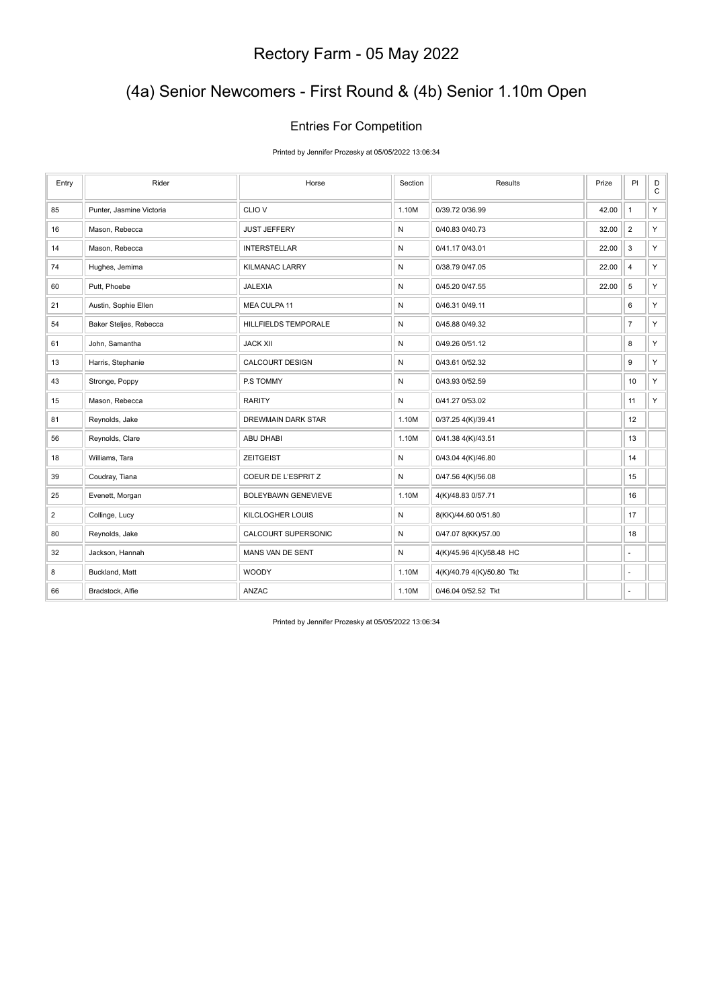# (4a) Senior Newcomers - First Round & (4b) Senior 1.10m Open

#### Entries For Competition

Printed by Jennifer Prozesky at 05/05/2022 13:06:34

| Entry          | Rider                    | Horse                      | Section | <b>Results</b>            | Prize | P                        | $_{\rm C}^{\rm D}$ |
|----------------|--------------------------|----------------------------|---------|---------------------------|-------|--------------------------|--------------------|
| 85             | Punter, Jasmine Victoria | CLIO <sub>V</sub>          | 1.10M   | 0/39.72 0/36.99           | 42.00 | $\overline{1}$           | Y.                 |
| 16             | Mason, Rebecca           | <b>JUST JEFFERY</b>        | N       | 0/40.83 0/40.73           | 32.00 | $\overline{2}$           | Y.                 |
| 14             | Mason, Rebecca           | <b>INTERSTELLAR</b>        | N       | 0/41.17 0/43.01           | 22.00 | 3                        | Y.                 |
| 74             | Hughes, Jemima           | <b>KILMANAC LARRY</b>      | N       | 0/38.79 0/47.05           | 22.00 | $\overline{4}$           | Y.                 |
| 60             | Putt, Phoebe             | <b>JALEXIA</b>             | N       | 0/45.20 0/47.55           | 22.00 | 5                        | Y.                 |
| 21             | Austin, Sophie Ellen     | MEA CULPA 11               | N       | 0/46.31 0/49.11           |       | 6                        | Y.                 |
| 54             | Baker Steljes, Rebecca   | HILLFIELDS TEMPORALE       | N       | 0/45.88 0/49.32           |       | $\overline{7}$           | Y.                 |
| 61             | John, Samantha           | <b>JACK XII</b>            | N       | 0/49.26 0/51.12           |       | 8                        | Y.                 |
| 13             | Harris, Stephanie        | CALCOURT DESIGN            | N       | 0/43.61 0/52.32           |       | $\boldsymbol{9}$         | Y.                 |
| 43             | Stronge, Poppy           | P.S TOMMY                  | N       | 0/43.93 0/52.59           |       | 10                       | Y.                 |
| 15             | Mason, Rebecca           | <b>RARITY</b>              | N       | 0/41.27 0/53.02           |       | 11                       | Y                  |
| 81             | Reynolds, Jake           | DREWMAIN DARK STAR         | 1.10M   | 0/37.25 4(K)/39.41        |       | 12                       |                    |
| 56             | Reynolds, Clare          | <b>ABU DHABI</b>           | 1.10M   | 0/41.38 4(K)/43.51        |       | 13                       |                    |
| 18             | Williams, Tara           | <b>ZEITGEIST</b>           | N       | 0/43.04 4(K)/46.80        |       | 14                       |                    |
| 39             | Coudray, Tiana           | COEUR DE L'ESPRIT Z        | N       | 0/47.56 4(K)/56.08        |       | 15                       |                    |
| 25             | Evenett, Morgan          | <b>BOLEYBAWN GENEVIEVE</b> | 1.10M   | 4(K)/48.83 0/57.71        |       | 16                       |                    |
| $\overline{2}$ | Collinge, Lucy           | KILCLOGHER LOUIS           | N       | 8(KK)/44.60 0/51.80       |       | 17                       |                    |
| 80             | Reynolds, Jake           | CALCOURT SUPERSONIC        | N       | 0/47.07 8(KK)/57.00       |       | 18                       |                    |
| 32             | Jackson, Hannah          | MANS VAN DE SENT           | N       | 4(K)/45.96 4(K)/58.48 HC  |       |                          |                    |
| 8              | Buckland, Matt           | <b>WOODY</b>               | 1.10M   | 4(K)/40.79 4(K)/50.80 Tkt |       | $\overline{\phantom{a}}$ |                    |
| 66             | Bradstock, Alfie         | ANZAC                      | 1.10M   | 0/46.04 0/52.52 Tkt       |       |                          |                    |

Printed by Jennifer Prozesky at 05/05/2022 13:06:34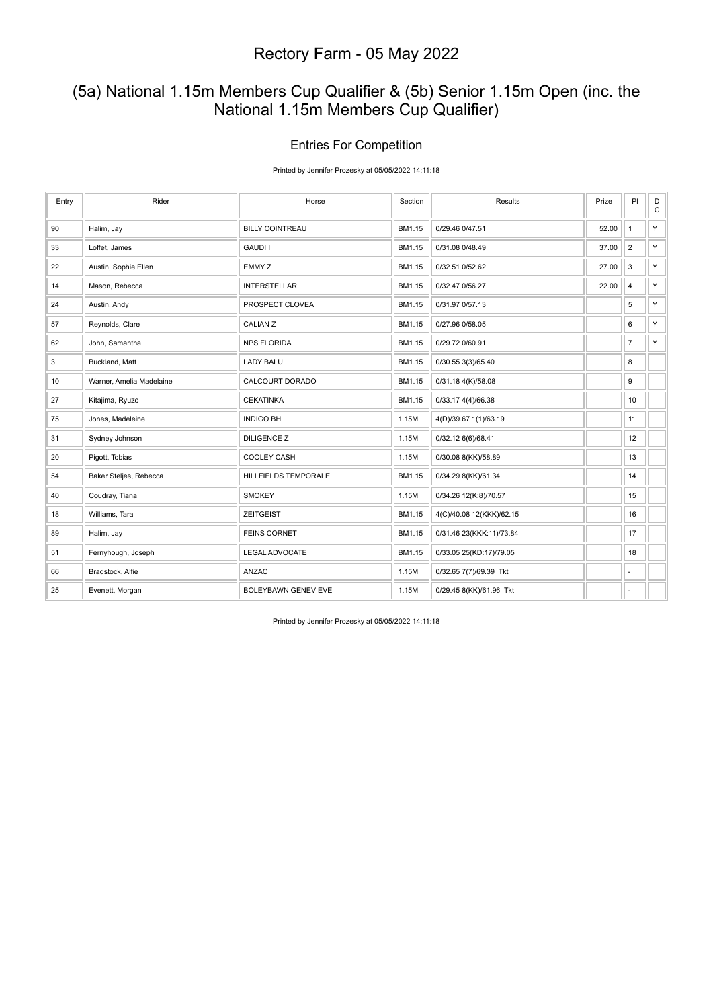### (5a) National 1.15m Members Cup Qualifier & (5b) Senior 1.15m Open (inc. the National 1.15m Members Cup Qualifier)

#### Entries For Competition

Printed by Jennifer Prozesky at 05/05/2022 14:11:18

| Entry | Rider                    | Horse                      | Section | Results                  | Prize | PI             | D<br>$\mathtt{C}$ |
|-------|--------------------------|----------------------------|---------|--------------------------|-------|----------------|-------------------|
| 90    | Halim, Jay               | <b>BILLY COINTREAU</b>     | BM1.15  | 0/29.46 0/47.51          | 52.00 | $\mathbf{1}$   | Y                 |
| 33    | Loffet, James            | <b>GAUDI II</b>            | BM1.15  | 0/31.08 0/48.49          | 37.00 | $\overline{2}$ | Y.                |
| 22    | Austin, Sophie Ellen     | EMMY Z                     | BM1.15  | 0/32.51 0/52.62          | 27.00 | 3              | Y.                |
| 14    | Mason, Rebecca           | <b>INTERSTELLAR</b>        | BM1.15  | 0/32.47 0/56.27          | 22.00 | $\overline{4}$ | Y.                |
| 24    | Austin, Andy             | PROSPECT CLOVEA            | BM1.15  | 0/31.97 0/57.13          |       | 5              | Y.                |
| 57    | Reynolds, Clare          | <b>CALIAN Z</b>            | BM1.15  | 0/27.96 0/58.05          |       | 6              | Y.                |
| 62    | John, Samantha           | <b>NPS FLORIDA</b>         | BM1.15  | 0/29.72 0/60.91          |       | $\overline{7}$ | Y.                |
| 3     | Buckland, Matt           | <b>LADY BALU</b>           | BM1.15  | 0/30.55 3(3)/65.40       |       | 8              |                   |
| 10    | Warner, Amelia Madelaine | CALCOURT DORADO            | BM1.15  | 0/31.18 4(K)/58.08       |       | 9              |                   |
| 27    | Kitajima, Ryuzo          | <b>CEKATINKA</b>           | BM1.15  | 0/33.17 4(4)/66.38       |       | 10             |                   |
| 75    | Jones, Madeleine         | <b>INDIGO BH</b>           | 1.15M   | 4(D)/39.67 1(1)/63.19    |       | 11             |                   |
| 31    | Sydney Johnson           | <b>DILIGENCE Z</b>         | 1.15M   | 0/32.12 6(6)/68.41       |       | 12             |                   |
| 20    | Pigott, Tobias           | <b>COOLEY CASH</b>         | 1.15M   | 0/30.08 8(KK)/58.89      |       | 13             |                   |
| 54    | Baker Steljes, Rebecca   | HILLFIELDS TEMPORALE       | BM1.15  | 0/34.29 8(KK)/61.34      |       | 14             |                   |
| 40    | Coudray, Tiana           | <b>SMOKEY</b>              | 1.15M   | 0/34.26 12(K:8)/70.57    |       | 15             |                   |
| 18    | Williams, Tara           | <b>ZEITGEIST</b>           | BM1.15  | 4(C)/40.08 12(KKK)/62.15 |       | 16             |                   |
| 89    | Halim, Jay               | <b>FEINS CORNET</b>        | BM1.15  | 0/31.46 23(KKK:11)/73.84 |       | 17             |                   |
| 51    | Fernyhough, Joseph       | <b>LEGAL ADVOCATE</b>      | BM1.15  | 0/33.05 25(KD:17)/79.05  |       | 18             |                   |
| 66    | Bradstock, Alfie         | ANZAC                      | 1.15M   | 0/32.65 7(7)/69.39 Tkt   |       | $\overline{a}$ |                   |
| 25    | Evenett, Morgan          | <b>BOLEYBAWN GENEVIEVE</b> | 1.15M   | 0/29.45 8(KK)/61.96 Tkt  |       | $\sim$         |                   |

Printed by Jennifer Prozesky at 05/05/2022 14:11:18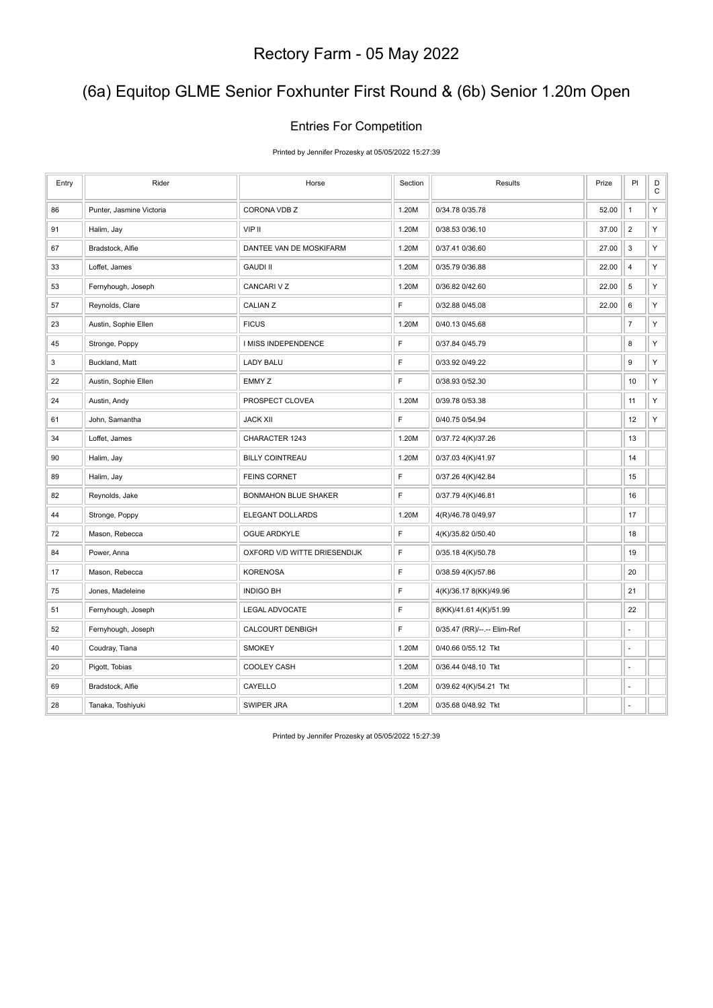# (6a) Equitop GLME Senior Foxhunter First Round & (6b) Senior 1.20m Open

#### Entries For Competition

Printed by Jennifer Prozesky at 05/05/2022 15:27:39

| Entry | Rider                    | Horse                        | Section     | Results                     | Prize | PI               | D<br>$\mathsf C$ |
|-------|--------------------------|------------------------------|-------------|-----------------------------|-------|------------------|------------------|
| 86    | Punter, Jasmine Victoria | CORONA VDB Z                 | 1.20M       | 0/34.78 0/35.78             | 52.00 | $\mathbf{1}$     | Υ                |
| 91    | Halim, Jay               | VIP II                       | 1.20M       | 0/38.53 0/36.10             | 37.00 | $\overline{2}$   | Υ                |
| 67    | Bradstock, Alfie         | DANTEE VAN DE MOSKIFARM      | 1.20M       | 0/37.41 0/36.60             | 27.00 | 3                | Υ                |
| 33    | Loffet, James            | <b>GAUDI II</b>              | 1.20M       | 0/35.79 0/36.88             | 22.00 | $\sqrt{4}$       | Υ                |
| 53    | Fernyhough, Joseph       | CANCARI V Z                  | 1.20M       | 0/36.82 0/42.60             | 22.00 | $\,$ 5 $\,$      | Υ                |
| 57    | Reynolds, Clare          | CALIAN Z                     | F           | 0/32.88 0/45.08             | 22.00 | 6                | Υ                |
| 23    | Austin, Sophie Ellen     | <b>FICUS</b>                 | 1.20M       | 0/40.13 0/45.68             |       | $\boldsymbol{7}$ | Υ                |
| 45    | Stronge, Poppy           | I MISS INDEPENDENCE          | F           | 0/37.84 0/45.79             |       | 8                | Υ                |
| 3     | Buckland, Matt           | <b>LADY BALU</b>             | $\mathsf F$ | 0/33.92 0/49.22             |       | 9                | Υ                |
| 22    | Austin, Sophie Ellen     | EMMY Z                       | F           | 0/38.93 0/52.30             |       | 10               | Υ                |
| 24    | Austin, Andy             | PROSPECT CLOVEA              | 1.20M       | 0/39.78 0/53.38             |       | 11               | Υ                |
| 61    | John, Samantha           | <b>JACK XII</b>              | F           | 0/40.75 0/54.94             |       | 12               | Υ                |
| 34    | Loffet, James            | CHARACTER 1243               | 1.20M       | 0/37.72 4(K)/37.26          |       | 13               |                  |
| 90    | Halim, Jay               | <b>BILLY COINTREAU</b>       | 1.20M       | 0/37.03 4(K)/41.97          |       | 14               |                  |
| 89    | Halim, Jay               | <b>FEINS CORNET</b>          | F           | 0/37.26 4(K)/42.84          |       | 15               |                  |
| 82    | Reynolds, Jake           | <b>BONMAHON BLUE SHAKER</b>  | $\mathsf F$ | 0/37.79 4(K)/46.81          |       | 16               |                  |
| 44    | Stronge, Poppy           | ELEGANT DOLLARDS             | 1.20M       | 4(R)/46.78 0/49.97          |       | 17               |                  |
| 72    | Mason, Rebecca           | OGUE ARDKYLE                 | $\mathsf F$ | 4(K)/35.82 0/50.40          |       | 18               |                  |
| 84    | Power, Anna              | OXFORD V/D WITTE DRIESENDIJK | $\mathsf F$ | 0/35.18 4(K)/50.78          |       | 19               |                  |
| 17    | Mason, Rebecca           | <b>KORENOSA</b>              | $\mathsf F$ | 0/38.59 4(K)/57.86          |       | 20               |                  |
| 75    | Jones, Madeleine         | <b>INDIGO BH</b>             | F           | 4(K)/36.17 8(KK)/49.96      |       | 21               |                  |
| 51    | Fernyhough, Joseph       | LEGAL ADVOCATE               | $\mathsf F$ | 8(KK)/41.61 4(K)/51.99      |       | 22               |                  |
| 52    | Fernyhough, Joseph       | <b>CALCOURT DENBIGH</b>      | F           | 0/35.47 (RR)/--.-- Elim-Ref |       | ÷,               |                  |
| 40    | Coudray, Tiana           | <b>SMOKEY</b>                | 1.20M       | 0/40.66 0/55.12 Tkt         |       | ÷,               |                  |
| 20    | Pigott, Tobias           | COOLEY CASH                  | 1.20M       | 0/36.44 0/48.10 Tkt         |       | ä,               |                  |
| 69    | Bradstock, Alfie         | CAYELLO                      | 1.20M       | 0/39.62 4(K)/54.21 Tkt      |       |                  |                  |
| 28    | Tanaka, Toshiyuki        | SWIPER JRA                   | 1.20M       | 0/35.68 0/48.92 Tkt         |       | ÷,               |                  |

Printed by Jennifer Prozesky at 05/05/2022 15:27:39